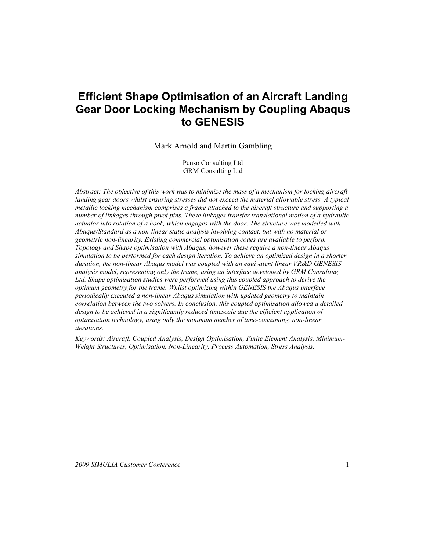# **Efficient Shape Optimisation of an Aircraft Landing Gear Door Locking Mechanism by Coupling Abaqus to GENESIS**

Mark Arnold and Martin Gambling

Penso Consulting Ltd GRM Consulting Ltd

*Abstract: The objective of this work was to minimize the mass of a mechanism for locking aircraft landing gear doors whilst ensuring stresses did not exceed the material allowable stress. A typical metallic locking mechanism comprises a frame attached to the aircraft structure and supporting a number of linkages through pivot pins. These linkages transfer translational motion of a hydraulic actuator into rotation of a hook, which engages with the door. The structure was modelled with Abaqus/Standard as a non-linear static analysis involving contact, but with no material or geometric non-linearity. Existing commercial optimisation codes are available to perform Topology and Shape optimisation with Abaqus, however these require a non-linear Abaqus simulation to be performed for each design iteration. To achieve an optimized design in a shorter duration, the non-linear Abaqus model was coupled with an equivalent linear VR&D GENESIS analysis model, representing only the frame, using an interface developed by GRM Consulting Ltd. Shape optimisation studies were performed using this coupled approach to derive the optimum geometry for the frame. Whilst optimizing within GENESIS the Abaqus interface periodically executed a non-linear Abaqus simulation with updated geometry to maintain correlation between the two solvers. In conclusion, this coupled optimisation allowed a detailed design to be achieved in a significantly reduced timescale due the efficient application of optimisation technology, using only the minimum number of time-consuming, non-linear iterations.*

*Keywords: Aircraft, Coupled Analysis, Design Optimisation, Finite Element Analysis, Minimum-Weight Structures, Optimisation, Non-Linearity, Process Automation, Stress Analysis.*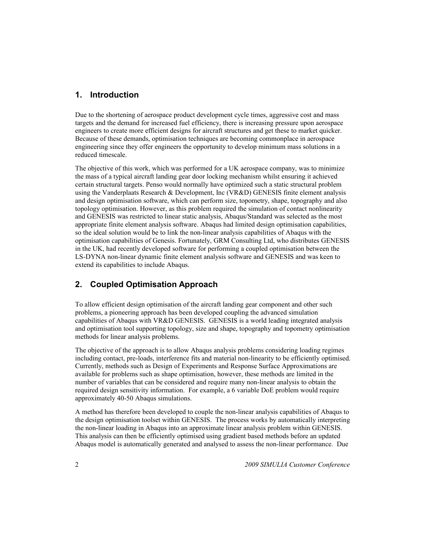### **1. Introduction**

Due to the shortening of aerospace product development cycle times, aggressive cost and mass targets and the demand for increased fuel efficiency, there is increasing pressure upon aerospace engineers to create more efficient designs for aircraft structures and get these to market quicker. Because of these demands, optimisation techniques are becoming commonplace in aerospace engineering since they offer engineers the opportunity to develop minimum mass solutions in a reduced timescale.

The objective of this work, which was performed for a UK aerospace company, was to minimize the mass of a typical aircraft landing gear door locking mechanism whilst ensuring it achieved certain structural targets. Penso would normally have optimized such a static structural problem using the Vanderplaats Research & Development, Inc (VR&D) GENESIS finite element analysis and design optimisation software, which can perform size, topometry, shape, topography and also topology optimisation. However, as this problem required the simulation of contact nonlinearity and GENESIS was restricted to linear static analysis, Abaqus/Standard was selected as the most appropriate finite element analysis software. Abaqus had limited design optimisation capabilities, so the ideal solution would be to link the non-linear analysis capabilities of Abaqus with the optimisation capabilities of Genesis. Fortunately, GRM Consulting Ltd, who distributes GENESIS in the UK, had recently developed software for performing a coupled optimisation between the LS-DYNA non-linear dynamic finite element analysis software and GENESIS and was keen to extend its capabilities to include Abaqus.

### **2. Coupled Optimisation Approach**

To allow efficient design optimisation of the aircraft landing gear component and other such problems, a pioneering approach has been developed coupling the advanced simulation capabilities of Abaqus with VR&D GENESIS. GENESIS is a world leading integrated analysis and optimisation tool supporting topology, size and shape, topography and topometry optimisation methods for linear analysis problems.

The objective of the approach is to allow Abaqus analysis problems considering loading regimes including contact, pre-loads, interference fits and material non-linearity to be efficiently optimised. Currently, methods such as Design of Experiments and Response Surface Approximations are available for problems such as shape optimisation, however, these methods are limited in the number of variables that can be considered and require many non-linear analysis to obtain the required design sensitivity information. For example, a 6 variable DoE problem would require approximately 40-50 Abaqus simulations.

A method has therefore been developed to couple the non-linear analysis capabilities of Abaqus to the design optimisation toolset within GENESIS. The process works by automatically interpreting the non-linear loading in Abaqus into an approximate linear analysis problem within GENESIS. This analysis can then be efficiently optimised using gradient based methods before an updated Abaqus model is automatically generated and analysed to assess the non-linear performance. Due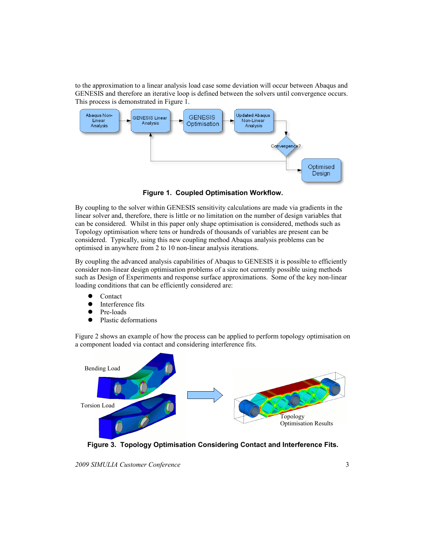to the approximation to a linear analysis load case some deviation will occur between Abaqus and GENESIS and therefore an iterative loop is defined between the solvers until convergence occurs. This process is demonstrated in Figure 1.



**Figure 1. Coupled Optimisation Workflow.**

By coupling to the solver within GENESIS sensitivity calculations are made via gradients in the linear solver and, therefore, there is little or no limitation on the number of design variables that can be considered. Whilst in this paper only shape optimisation is considered, methods such as Topology optimisation where tens or hundreds of thousands of variables are present can be considered. Typically, using this new coupling method Abaqus analysis problems can be optimised in anywhere from 2 to 10 non-linear analysis iterations.

By coupling the advanced analysis capabilities of Abaqus to GENESIS it is possible to efficiently consider non-linear design optimisation problems of a size not currently possible using methods such as Design of Experiments and response surface approximations. Some of the key non-linear loading conditions that can be efficiently considered are:

- Contact
- Interference fits
- Pre-loads
- Plastic deformations

Figure 2 shows an example of how the process can be applied to perform topology optimisation on a component loaded via contact and considering interference fits.



**Figure 3. Topology Optimisation Considering Contact and Interference Fits.**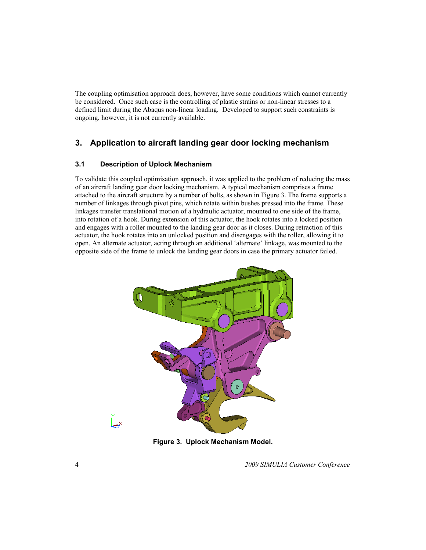The coupling optimisation approach does, however, have some conditions which cannot currently be considered. Once such case is the controlling of plastic strains or non-linear stresses to a defined limit during the Abaqus non-linear loading. Developed to support such constraints is ongoing, however, it is not currently available.

### **3. Application to aircraft landing gear door locking mechanism**

#### **3.1 Description of Uplock Mechanism**

To validate this coupled optimisation approach, it was applied to the problem of reducing the mass of an aircraft landing gear door locking mechanism. A typical mechanism comprises a frame attached to the aircraft structure by a number of bolts, as shown in Figure 3. The frame supports a number of linkages through pivot pins, which rotate within bushes pressed into the frame. These linkages transfer translational motion of a hydraulic actuator, mounted to one side of the frame, into rotation of a hook. During extension of this actuator, the hook rotates into a locked position and engages with a roller mounted to the landing gear door as it closes. During retraction of this actuator, the hook rotates into an unlocked position and disengages with the roller, allowing it to open. An alternate actuator, acting through an additional 'alternate' linkage, was mounted to the opposite side of the frame to unlock the landing gear doors in case the primary actuator failed.



**Figure 3. Uplock Mechanism Model.**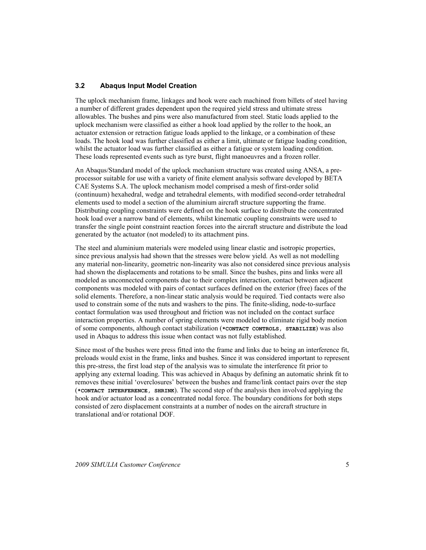#### **3.2 Abaqus Input Model Creation**

The uplock mechanism frame, linkages and hook were each machined from billets of steel having a number of different grades dependent upon the required yield stress and ultimate stress allowables. The bushes and pins were also manufactured from steel. Static loads applied to the uplock mechanism were classified as either a hook load applied by the roller to the hook, an actuator extension or retraction fatigue loads applied to the linkage, or a combination of these loads. The hook load was further classified as either a limit, ultimate or fatigue loading condition, whilst the actuator load was further classified as either a fatigue or system loading condition. These loads represented events such as tyre burst, flight manoeuvres and a frozen roller.

An Abaqus/Standard model of the uplock mechanism structure was created using ANSA, a preprocessor suitable for use with a variety of finite element analysis software developed by BETA CAE Systems S.A. The uplock mechanism model comprised a mesh of first-order solid (continuum) hexahedral, wedge and tetrahedral elements, with modified second-order tetrahedral elements used to model a section of the aluminium aircraft structure supporting the frame. Distributing coupling constraints were defined on the hook surface to distribute the concentrated hook load over a narrow band of elements, whilst kinematic coupling constraints were used to transfer the single point constraint reaction forces into the aircraft structure and distribute the load generated by the actuator (not modeled) to its attachment pins.

The steel and aluminium materials were modeled using linear elastic and isotropic properties, since previous analysis had shown that the stresses were below yield. As well as not modelling any material non-linearity, geometric non-linearity was also not considered since previous analysis had shown the displacements and rotations to be small. Since the bushes, pins and links were all modeled as unconnected components due to their complex interaction, contact between adjacent components was modeled with pairs of contact surfaces defined on the exterior (free) faces of the solid elements. Therefore, a non-linear static analysis would be required. Tied contacts were also used to constrain some of the nuts and washers to the pins. The finite-sliding, node-to-surface contact formulation was used throughout and friction was not included on the contact surface interaction properties. A number of spring elements were modeled to eliminate rigid body motion of some components, although contact stabilization (**\*CONTACT CONTROLS, STABILIZE**) was also used in Abaqus to address this issue when contact was not fully established.

Since most of the bushes were press fitted into the frame and links due to being an interference fit, preloads would exist in the frame, links and bushes. Since it was considered important to represent this pre-stress, the first load step of the analysis was to simulate the interference fit prior to applying any external loading. This was achieved in Abaqus by defining an automatic shrink fit to removes these initial 'overclosures' between the bushes and frame/link contact pairs over the step (**\*CONTACT INTERFERENCE, SHRINK**). The second step of the analysis then involved applying the hook and/or actuator load as a concentrated nodal force. The boundary conditions for both steps consisted of zero displacement constraints at a number of nodes on the aircraft structure in translational and/or rotational DOF.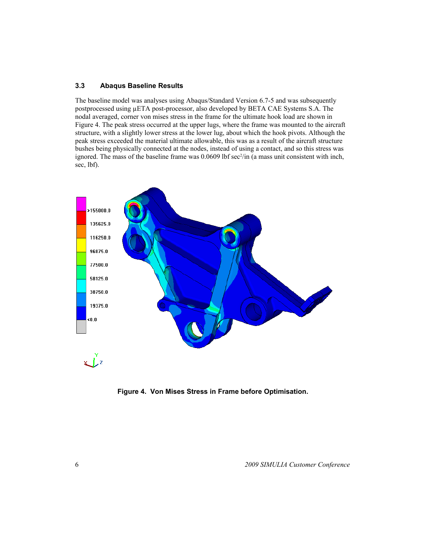#### **3.3 Abaqus Baseline Results**

The baseline model was analyses using Abaqus/Standard Version 6.7-5 and was subsequently postprocessed using µETA post-processor, also developed by BETA CAE Systems S.A. The nodal averaged, corner von mises stress in the frame for the ultimate hook load are shown in Figure 4. The peak stress occurred at the upper lugs, where the frame was mounted to the aircraft structure, with a slightly lower stress at the lower lug, about which the hook pivots. Although the peak stress exceeded the material ultimate allowable, this was as a result of the aircraft structure bushes being physically connected at the nodes, instead of using a contact, and so this stress was ignored. The mass of the baseline frame was  $0.0609$  lbf sec $\frac{2}{\text{in}}$  (a mass unit consistent with inch, sec, lbf).



**Figure 4. Von Mises Stress in Frame before Optimisation.**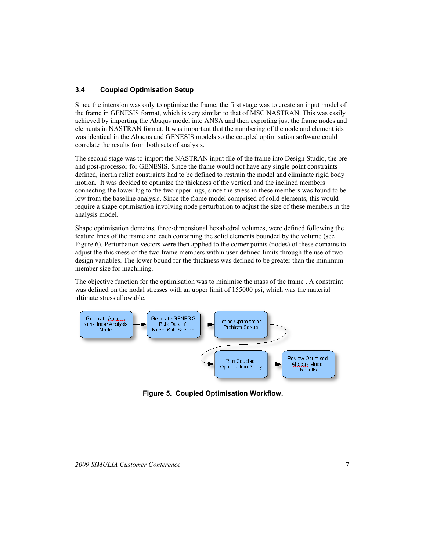#### **3.4 Coupled Optimisation Setup**

Since the intension was only to optimize the frame, the first stage was to create an input model of the frame in GENESIS format, which is very similar to that of MSC NASTRAN. This was easily achieved by importing the Abaqus model into ANSA and then exporting just the frame nodes and elements in NASTRAN format. It was important that the numbering of the node and element ids was identical in the Abaqus and GENESIS models so the coupled optimisation software could correlate the results from both sets of analysis.

The second stage was to import the NASTRAN input file of the frame into Design Studio, the preand post-processor for GENESIS. Since the frame would not have any single point constraints defined, inertia relief constraints had to be defined to restrain the model and eliminate rigid body motion. It was decided to optimize the thickness of the vertical and the inclined members connecting the lower lug to the two upper lugs, since the stress in these members was found to be low from the baseline analysis. Since the frame model comprised of solid elements, this would require a shape optimisation involving node perturbation to adjust the size of these members in the analysis model.

Shape optimisation domains, three-dimensional hexahedral volumes, were defined following the feature lines of the frame and each containing the solid elements bounded by the volume (see Figure 6). Perturbation vectors were then applied to the corner points (nodes) of these domains to adjust the thickness of the two frame members within user-defined limits through the use of two design variables. The lower bound for the thickness was defined to be greater than the minimum member size for machining.

The objective function for the optimisation was to minimise the mass of the frame . A constraint was defined on the nodal stresses with an upper limit of 155000 psi, which was the material ultimate stress allowable.



**Figure 5. Coupled Optimisation Workflow.**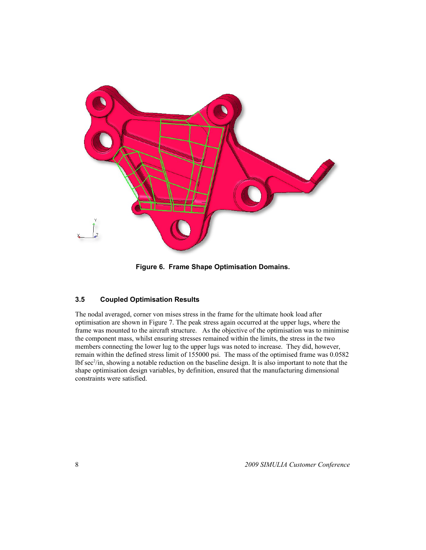

**Figure 6. Frame Shape Optimisation Domains.**

#### **3.5 Coupled Optimisation Results**

The nodal averaged, corner von mises stress in the frame for the ultimate hook load after optimisation are shown in Figure 7. The peak stress again occurred at the upper lugs, where the frame was mounted to the aircraft structure. As the objective of the optimisation was to minimise the component mass, whilst ensuring stresses remained within the limits, the stress in the two members connecting the lower lug to the upper lugs was noted to increase. They did, however, remain within the defined stress limit of 155000 psi. The mass of the optimised frame was 0.0582 lbf sec<sup>2</sup>/in, showing a notable reduction on the baseline design. It is also important to note that the shape optimisation design variables, by definition, ensured that the manufacturing dimensional constraints were satisfied.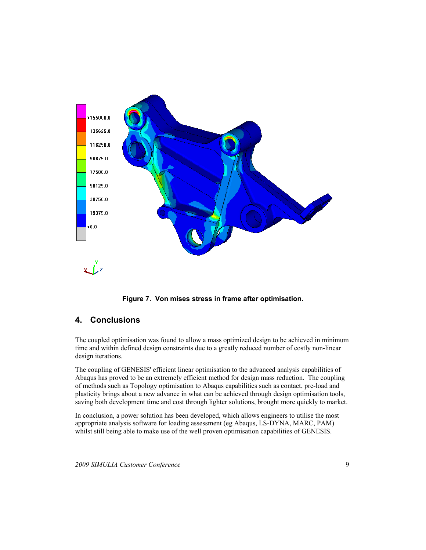

**Figure 7. Von mises stress in frame after optimisation.**

### **4. Conclusions**

The coupled optimisation was found to allow a mass optimized design to be achieved in minimum time and within defined design constraints due to a greatly reduced number of costly non-linear design iterations.

The coupling of GENESIS' efficient linear optimisation to the advanced analysis capabilities of Abaqus has proved to be an extremely efficient method for design mass reduction. The coupling of methods such as Topology optimisation to Abaqus capabilities such as contact, pre-load and plasticity brings about a new advance in what can be achieved through design optimisation tools, saving both development time and cost through lighter solutions, brought more quickly to market.

In conclusion, a power solution has been developed, which allows engineers to utilise the most appropriate analysis software for loading assessment (eg Abaqus, LS-DYNA, MARC, PAM) whilst still being able to make use of the well proven optimisation capabilities of GENESIS.